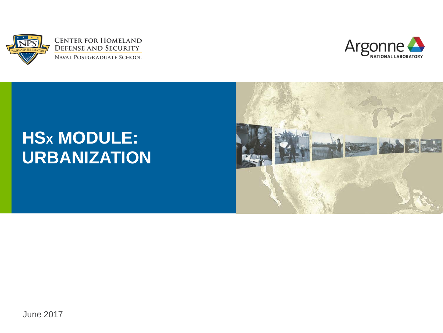



### **HSX MODULE: URBANIZATION**

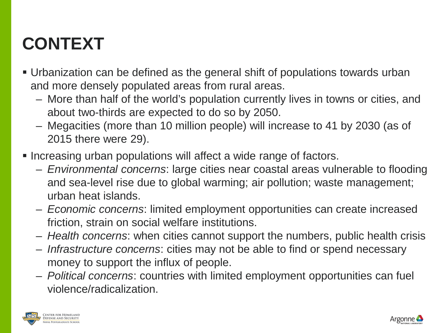### **CONTEXT**

- Urbanization can be defined as the general shift of populations towards urban and more densely populated areas from rural areas.
	- More than half of the world's population currently lives in towns or cities, and about two-thirds are expected to do so by 2050.
	- Megacities (more than 10 million people) will increase to 41 by 2030 (as of 2015 there were 29).
- **Increasing urban populations will affect a wide range of factors.** 
	- *Environmental concerns*: large cities near coastal areas vulnerable to flooding and sea-level rise due to global warming; air pollution; waste management; urban heat islands.
	- *Economic concerns*: limited employment opportunities can create increased friction, strain on social welfare institutions.
	- *Health concerns*: when cities cannot support the numbers, public health crisis
	- *Infrastructure concerns*: cities may not be able to find or spend necessary money to support the influx of people.
	- *Political concerns*: countries with limited employment opportunities can fuel violence/radicalization.



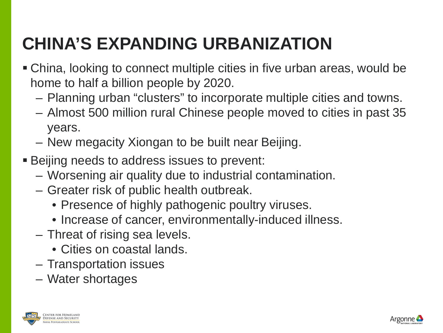## **CHINA'S EXPANDING URBANIZATION**

- China, looking to connect multiple cities in five urban areas, would be home to half a billion people by 2020.
	- Planning urban "clusters" to incorporate multiple cities and towns.
	- Almost 500 million rural Chinese people moved to cities in past 35 years.
	- New megacity Xiongan to be built near Beijing.
- **Beijing needs to address issues to prevent:** 
	- Worsening air quality due to industrial contamination.
	- Greater risk of public health outbreak.
		- Presence of highly pathogenic poultry viruses.
		- Increase of cancer, environmentally-induced illness.
	- Threat of rising sea levels.
		- Cities on coastal lands.
	- Transportation issues
	- Water shortages



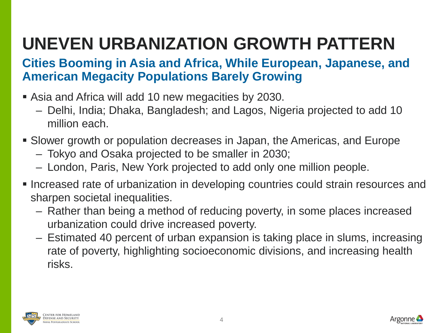## **UNEVEN URBANIZATION GROWTH PATTERN**

#### **Cities Booming in Asia and Africa, While European, Japanese, and American Megacity Populations Barely Growing**

- Asia and Africa will add 10 new megacities by 2030.
	- Delhi, India; Dhaka, Bangladesh; and Lagos, Nigeria projected to add 10 million each.
- Slower growth or population decreases in Japan, the Americas, and Europe
	- Tokyo and Osaka projected to be smaller in 2030;
	- London, Paris, New York projected to add only one million people.
- Increased rate of urbanization in developing countries could strain resources and sharpen societal inequalities.
	- Rather than being a method of reducing poverty, in some places increased urbanization could drive increased poverty.
	- Estimated 40 percent of urban expansion is taking place in slums, increasing rate of poverty, highlighting socioeconomic divisions, and increasing health risks.



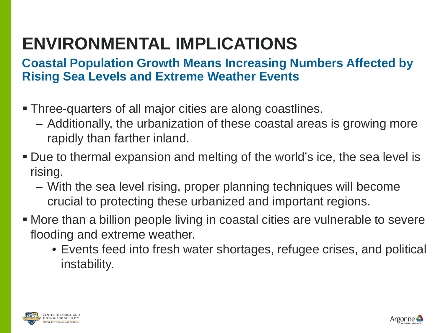### **ENVIRONMENTAL IMPLICATIONS**

#### **Coastal Population Growth Means Increasing Numbers Affected by Rising Sea Levels and Extreme Weather Events**

- Three-quarters of all major cities are along coastlines.
	- Additionally, the urbanization of these coastal areas is growing more rapidly than farther inland.
- Due to thermal expansion and melting of the world's ice, the sea level is rising.
	- With the sea level rising, proper planning techniques will become crucial to protecting these urbanized and important regions.
- More than a billion people living in coastal cities are vulnerable to severe flooding and extreme weather.
	- Events feed into fresh water shortages, refugee crises, and political instability.



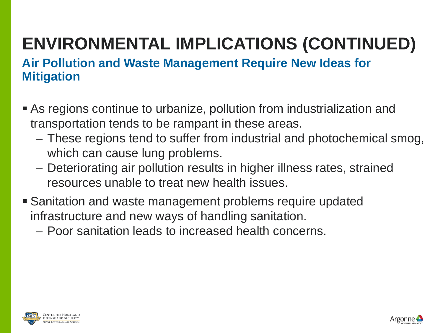# **ENVIRONMENTAL IMPLICATIONS (CONTINUED)**

#### **Air Pollution and Waste Management Require New Ideas for Mitigation**

- As regions continue to urbanize, pollution from industrialization and transportation tends to be rampant in these areas.
	- These regions tend to suffer from industrial and photochemical smog, which can cause lung problems.
	- Deteriorating air pollution results in higher illness rates, strained resources unable to treat new health issues.
- Sanitation and waste management problems require updated infrastructure and new ways of handling sanitation.
	- Poor sanitation leads to increased health concerns.



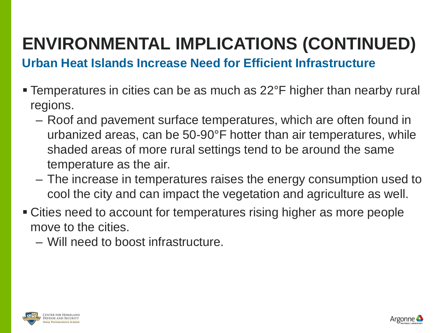### **ENVIRONMENTAL IMPLICATIONS (CONTINUED)**

**Urban Heat Islands Increase Need for Efficient Infrastructure**

- Temperatures in cities can be as much as 22°F higher than nearby rural regions.
	- Roof and pavement surface temperatures, which are often found in urbanized areas, can be 50-90°F hotter than air temperatures, while shaded areas of more rural settings tend to be around the same temperature as the air.
	- The increase in temperatures raises the energy consumption used to cool the city and can impact the vegetation and agriculture as well.
- Cities need to account for temperatures rising higher as more people move to the cities.
	- Will need to boost infrastructure.





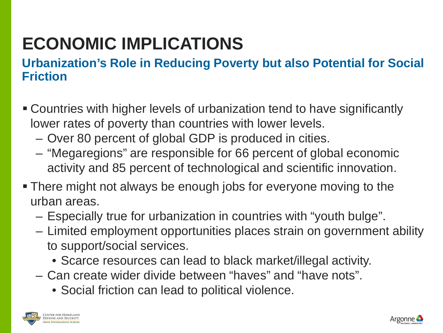### **ECONOMIC IMPLICATIONS**

### **Urbanization's Role in Reducing Poverty but also Potential for Social Friction**

- Countries with higher levels of urbanization tend to have significantly lower rates of poverty than countries with lower levels.
	- Over 80 percent of global GDP is produced in cities.
	- "Megaregions" are responsible for 66 percent of global economic activity and 85 percent of technological and scientific innovation.
- There might not always be enough jobs for everyone moving to the urban areas.
	- Especially true for urbanization in countries with "youth bulge".
	- Limited employment opportunities places strain on government ability to support/social services.
		- Scarce resources can lead to black market/illegal activity.
	- Can create wider divide between "haves" and "have nots".
		- Social friction can lead to political violence.



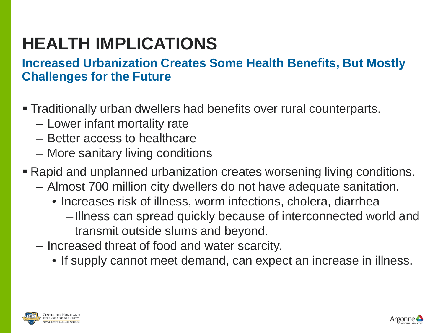### **HEALTH IMPLICATIONS**

### **Increased Urbanization Creates Some Health Benefits, But Mostly Challenges for the Future**

- Traditionally urban dwellers had benefits over rural counterparts.
	- Lower infant mortality rate
	- Better access to healthcare
	- More sanitary living conditions
- Rapid and unplanned urbanization creates worsening living conditions.
	- Almost 700 million city dwellers do not have adequate sanitation.
		- Increases risk of illness, worm infections, cholera, diarrhea
			- –Illness can spread quickly because of interconnected world and transmit outside slums and beyond.
	- Increased threat of food and water scarcity.
		- If supply cannot meet demand, can expect an increase in illness.



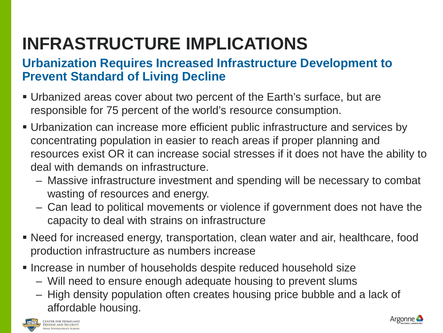## **INFRASTRUCTURE IMPLICATIONS**

### **Urbanization Requires Increased Infrastructure Development to Prevent Standard of Living Decline**

- Urbanized areas cover about two percent of the Earth's surface, but are responsible for 75 percent of the world's resource consumption.
- Urbanization can increase more efficient public infrastructure and services by concentrating population in easier to reach areas if proper planning and resources exist OR it can increase social stresses if it does not have the ability to deal with demands on infrastructure.
	- Massive infrastructure investment and spending will be necessary to combat wasting of resources and energy.
	- Can lead to political movements or violence if government does not have the capacity to deal with strains on infrastructure
- Need for increased energy, transportation, clean water and air, healthcare, food production infrastructure as numbers increase
- **Increase in number of households despite reduced household size** 
	- Will need to ensure enough adequate housing to prevent slums
	- High density population often creates housing price bubble and a lack of affordable housing.



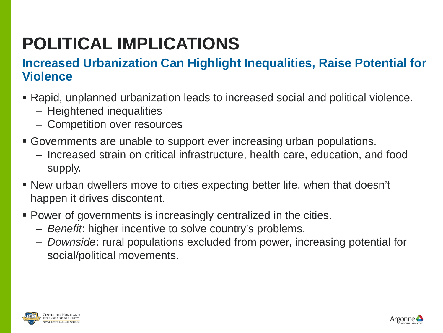### **POLITICAL IMPLICATIONS**

### **Increased Urbanization Can Highlight Inequalities, Raise Potential for Violence**

- Rapid, unplanned urbanization leads to increased social and political violence.
	- Heightened inequalities
	- Competition over resources
- Governments are unable to support ever increasing urban populations.
	- Increased strain on critical infrastructure, health care, education, and food supply.
- New urban dwellers move to cities expecting better life, when that doesn't happen it drives discontent.
- Power of governments is increasingly centralized in the cities.
	- *Benefit*: higher incentive to solve country's problems.
	- *Downside*: rural populations excluded from power, increasing potential for social/political movements.



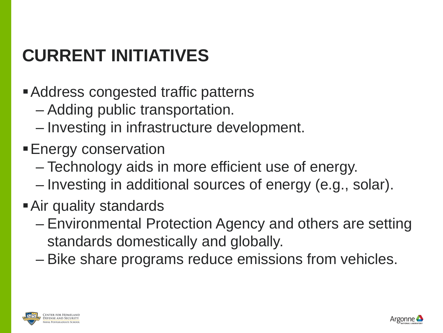## **CURRENT INITIATIVES**

- Address congested traffic patterns
	- Adding public transportation.
	- Investing in infrastructure development.
- **Energy conservation** 
	- Technology aids in more efficient use of energy.
	- Investing in additional sources of energy (e.g., solar).
- Air quality standards
	- Environmental Protection Agency and others are setting standards domestically and globally.
	- Bike share programs reduce emissions from vehicles.



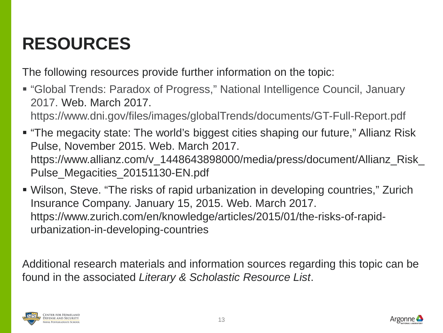### **RESOURCES**

The following resources provide further information on the topic:

 "Global Trends: Paradox of Progress," National Intelligence Council, January 2017. Web. March 2017.

https://www.dni.gov/files/images/globalTrends/documents/GT-Full-Report.pdf

- "The megacity state: The world's biggest cities shaping our future," Allianz Risk Pulse, November 2015. Web. March 2017. https://www.allianz.com/v\_1448643898000/media/press/document/Allianz\_Risk\_ Pulse Megacities 20151130-EN.pdf
- Wilson, Steve. "The risks of rapid urbanization in developing countries," Zurich Insurance Company. January 15, 2015. Web. March 2017. https://www.zurich.com/en/knowledge/articles/2015/01/the-risks-of-rapidurbanization-in-developing-countries

Additional research materials and information sources regarding this topic can be found in the associated *Literary & Scholastic Resource List*.



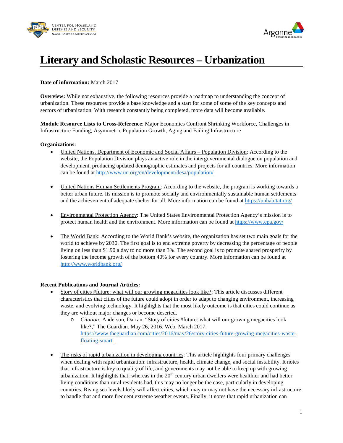



#### **Literary and Scholastic Resources – Urbanization**

#### **Date of information:** March 2017

**Overview:** While not exhaustive, the following resources provide a roadmap to understanding the concept of urbanization. These resources provide a base knowledge and a start for some of some of the key concepts and sectors of urbanization. With research constantly being completed, more data will become available.

**Module Resource Lists to Cross-Reference**: Major Economies Confront Shrinking Workforce, Challenges in Infrastructure Funding, Asymmetric Population Growth, Aging and Failing Infrastructure

#### **Organizations:**

- United Nations, Department of Economic and Social Affairs Population Division: According to the website, the Population Division plays an active role in the intergovernmental dialogue on population and development, producing updated demographic estimates and projects for all countries. More information can be found at<http://www.un.org/en/development/desa/population/>
- United Nations Human Settlements Program: According to the website, the program is working towards a better urban future. Its mission is to promote socially and environmentally sustainable human settlements and the achievement of adequate shelter for all. More information can be found a[t https://unhabitat.org/](https://unhabitat.org/)
- Environmental Protection Agency: The United States Environmental Protection Agency's mission is to protect human health and the environment. More information can be found at<https://www.epa.gov/>
- The World Bank: According to the World Bank's website, the organization has set two main goals for the world to achieve by 2030. The first goal is to end extreme poverty by decreasing the percentage of people living on less than \$1.90 a day to no more than 3%. The second goal is to promote shared prosperity by fostering the income growth of the bottom 40% for every country. More information can be found at <http://www.worldbank.org/>

#### **Recent Publications and Journal Articles:**

- Story of cities #future: what will our growing megacities look like?: This article discusses different characteristics that cities of the future could adopt in order to adapt to changing environment, increasing waste, and evolving technology. It highlights that the most likely outcome is that cities could continue as they are without major changes or become deserted.
	- o *Citation:* Anderson, Darran. "Story of cities #future: what will our growing megacities look like?," The Guardian. May 26, 2016. Web. March 2017. [https://www.theguardian.com/cities/2016/may/26/story-cities-future-growing-megacities-waste](https://www.theguardian.com/cities/2016/may/26/story-cities-future-growing-megacities-waste-floating-smart)[floating-smart](https://www.theguardian.com/cities/2016/may/26/story-cities-future-growing-megacities-waste-floating-smart)
- The risks of rapid urbanization in developing countries: This article highlights four primary challenges when dealing with rapid urbanization: infrastructure, health, climate change, and social instability. It notes that infrastructure is key to quality of life, and governments may not be able to keep up with growing urbanization. It highlights that, whereas in the  $20<sup>th</sup>$  century urban dwellers were healthier and had better living conditions than rural residents had, this may no longer be the case, particularly in developing countries. Rising sea levels likely will affect cities, which may or may not have the necessary infrastructure to handle that and more frequent extreme weather events. Finally, it notes that rapid urbanization can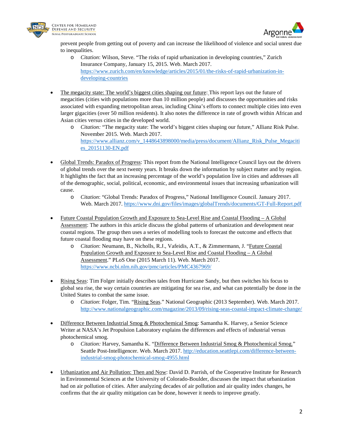



prevent people from getting out of poverty and can increase the likelihood of violence and social unrest due to inequalities.

- o *Citation*: Wilson, Steve. "The risks of rapid urbanization in developing countries," Zurich Insurance Company, January 15, 2015. Web. March 2017. [https://www.zurich.com/en/knowledge/articles/2015/01/the-risks-of-rapid-urbanization-in](https://www.zurich.com/en/knowledge/articles/2015/01/the-risks-of-rapid-urbanization-in-developing-countries)[developing-countries](https://www.zurich.com/en/knowledge/articles/2015/01/the-risks-of-rapid-urbanization-in-developing-countries)
- The megacity state: The world's biggest cities shaping our future: This report lays out the future of megacities (cities with populations more than 10 million people) and discusses the opportunities and risks associated with expanding metropolitan areas, including China's efforts to connect multiple cities into even larger gigacities (over 50 million residents). It also notes the difference in rate of growth within African and Asian cities versus cities in the developed world.
	- o *Citation:* "The megacity state: The world's biggest cities shaping our future," Allianz Risk Pulse. November 2015. Web. March 2017. [https://www.allianz.com/v\\_1448643898000/media/press/document/Allianz\\_Risk\\_Pulse\\_Megaciti](https://www.allianz.com/v_1448643898000/media/press/document/Allianz_Risk_Pulse_Megacities_20151130-EN.pdf) [es\\_20151130-EN.pdf](https://www.allianz.com/v_1448643898000/media/press/document/Allianz_Risk_Pulse_Megacities_20151130-EN.pdf)
- Global Trends: Paradox of Progress: This report from the National Intelligence Council lays out the drivers of global trends over the next twenty years. It breaks down the information by subject matter and by region. It highlights the fact that an increasing percentage of the world's population live in cities and addresses all of the demographic, social, political, economic, and environmental issues that increasing urbanization will cause.
	- o *Citation*: "Global Trends: Paradox of Progress," National Intelligence Council. January 2017. Web. March 2017[. https://www.dni.gov/files/images/globalTrends/documents/GT-Full-Report.pdf](https://www.dni.gov/files/images/globalTrends/documents/GT-Full-Report.pdf)
- Future Coastal Population Growth and Exposure to Sea-Level Rise and Coastal Flooding A Global Assessment: The authors in this article discuss the global patterns of urbanization and development near coastal regions. The group then uses a series of modelling tools to forecast the outcome and effects that future coastal flooding may have on these regions.
	- o *Citation*: Neumann, B., Nicholls, R.J., Vafeidis, A.T., & Zimmermann, J. "Future Coastal Population Growth and Exposure to Sea-Level Rise and Coastal Flooding – A Global Assessment." PLoS One (2015 March 11). Web. March 2017. <https://www.ncbi.nlm.nih.gov/pmc/articles/PMC4367969/>
- Rising Seas: Tim Folger initially describes tales from Hurricane Sandy, but then switches his focus to global sea rise, the way certain countries are mitigating for sea rise, and what can potentially be done in the United States to combat the same issue.
	- o *Citation*: Folger, Tim. "Rising Seas." National Geographic (2013 September). Web. March 2017. <http://www.nationalgeographic.com/magazine/2013/09/rising-seas-coastal-impact-climate-change/>
- Difference Between Industrial Smog & Photochemical Smog: Samantha K. Harvey, a Senior Science Writer at NASA's Jet Propulsion Laboratory explains the differences and effects of industrial versus photochemical smog.
	- o *Citation:* Harvey, Samantha K. "Difference Between Industrial Smog & Photochemical Smog." Seattle Post-Intelligencer. Web. March 2017. [http://education.seattlepi.com/difference-between](http://education.seattlepi.com/difference-between-industrial-smog-photochemical-smog-4955.html)[industrial-smog-photochemical-smog-4955.html](http://education.seattlepi.com/difference-between-industrial-smog-photochemical-smog-4955.html)
- Urbanization and Air Pollution: Then and Now: David D. Parrish, of the Cooperative Institute for Research in Environmental Sciences at the University of Colorado-Boulder, discusses the impact that urbanization had on air pollution of cities. After analyzing decades of air pollution and air quality index changes, he confirms that the air quality mitigation can be done, however it needs to improve greatly.